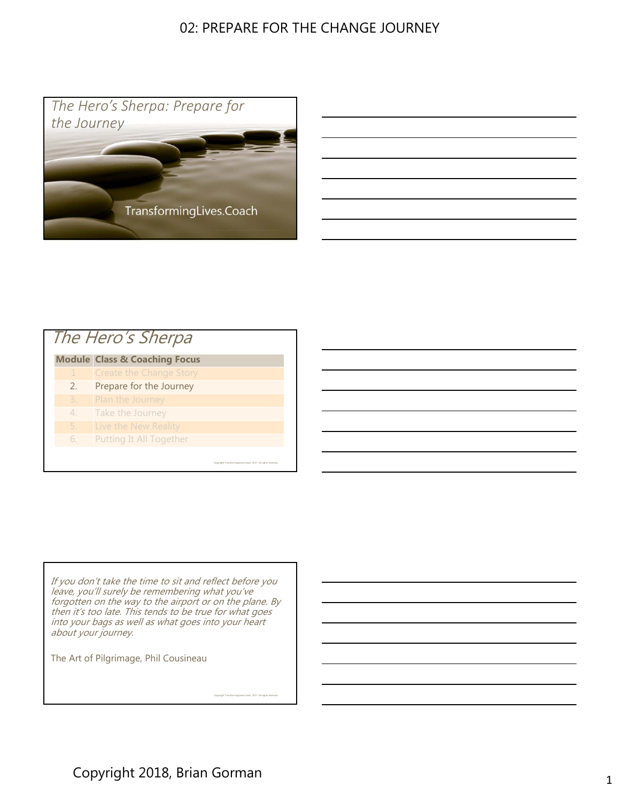

# **Module Class & Coaching Focus** The Hero's Sherpa

- Create the Change Story
- 2. Prepare for the Journey
- 
- 4. Take the Journey
- 5. Live the New Reality
- 6. Putting It All Together

If you don't take the time to sit and reflect before you leave, you'll surely be remembering what you've forgotten on the way to the airport or on the plane. By then it's too late. This tends to be true for what goes into your bags as well as what goes into your heart about your journey.

Copyright TransformingLives.Coach, 2017. All rights reserved.

Copyright TransformingLives.Coach, 2017. All rights reserved.

The Art of Pilgrimage, Phil Cousineau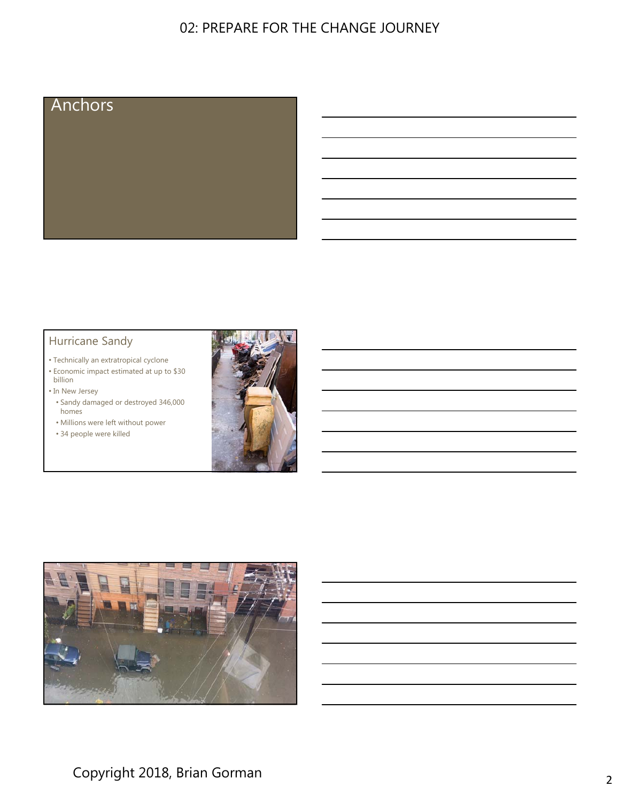

#### Hurricane Sandy

- Technically an extratropical cyclone
- Economic impact estimated at up to \$30 billion

• In New Jersey

- Sandy damaged or destroyed 346,000 homes
- Millions were left without power
- 34 people were killed



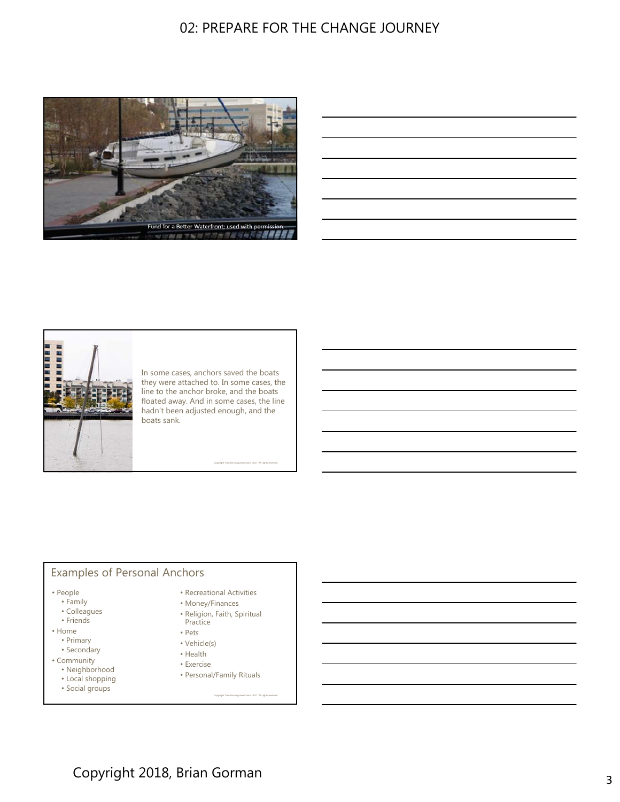

| <u> 1989 - Johann Barn, mars ann an t-Amhainn an t-Amhainn an t-Amhainn an t-Amhainn an t-Amhainn an t-Amhainn an</u>  |  |  |
|------------------------------------------------------------------------------------------------------------------------|--|--|
| <u> 1989 - Johann Stoff, amerikansk politiker (d. 1989)</u>                                                            |  |  |
| <u> 1989 - Johann Barn, mars ann an t-Amhain ann an t-Amhain ann an t-Amhain ann an t-Amhain an t-Amhain ann an t-</u> |  |  |
| <u> 1989 - Andrea Andrew Maria (h. 1989).</u>                                                                          |  |  |
| <u> 1989 - Johann Stoff, deutscher Stoff, der Stoff, der Stoff, der Stoff, der Stoff, der Stoff, der Stoff, der S</u>  |  |  |
| a sa mga banya ng mga banya ng mga banya ng mga banya ng mga banya ng mga banya ng mga banya ng mga banya ng m         |  |  |
|                                                                                                                        |  |  |



In some cases, anchors saved the boats they were attached to. In some cases, the line to the anchor broke, and the boats floated away. And in some cases, the line hadn't been adjusted enough, and the boats sank.

Copyright TransformingLives.Coach, 2017. All rights reserved.

#### Examples of Personal Anchors

- People
	- Family
	- Colleagues
	- Friends
- Home • Primary
	- Secondary
- Community
	- Neighborhood
	- Local shopping
	-
- - Recreational Activities
	- Money/Finances • Religion, Faith, Spiritual Practice
	- Pets
	- Vehicle(s)
	- Health
	- Exercise
	-
	- Personal/Family Rituals
- Social groups
- Copyright TransformingLives.Coach, 2017. All rights reserved.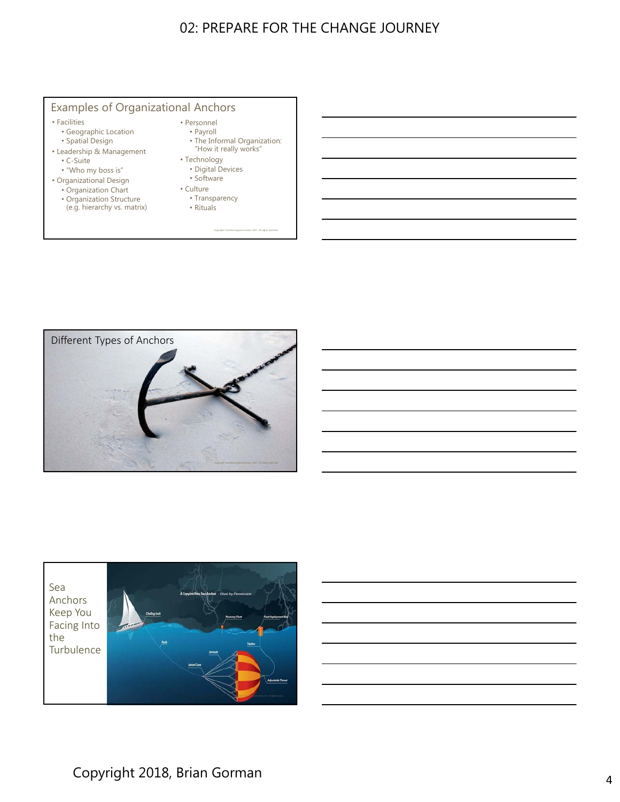#### Examples of Organizational Anchors

#### • Facilities

- Geographic Location
- Spatial Design
- Leadership & Management • C-Suite
	- "Who my boss is"
- Organizational Design
	- Organization Chart
	- Organization Structure (e.g. hierarchy vs. matrix)
- Personnel
	- Payroll
	- The Informal Organization: "How it really works"

Copyright TransformingLives.Coach, 2017. All rights reserved.

- Technology
	- Digital Devices
	- Software
- Culture • Transparency
- Rituals



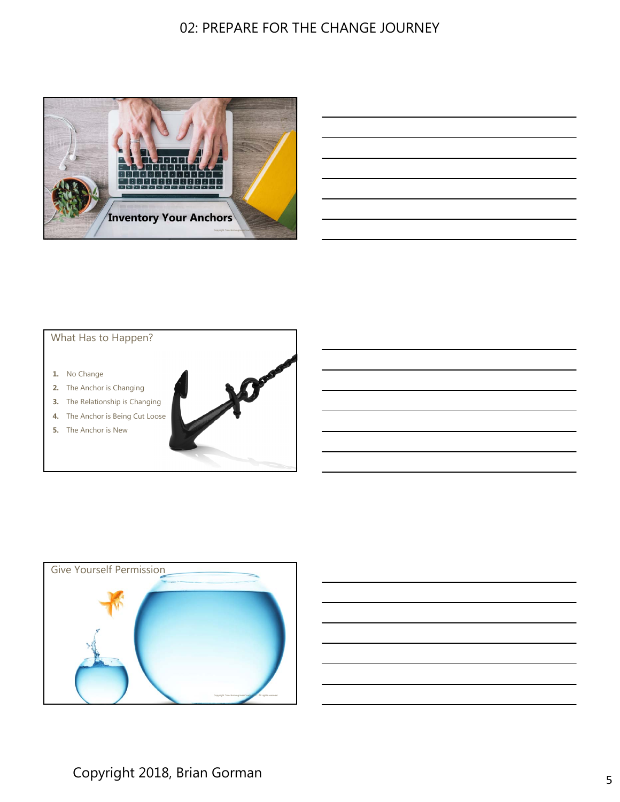

| <u> Andreas Andreas Andreas Andreas Andreas Andreas Andreas Andreas Andreas Andreas Andreas Andreas Andreas Andreas Andreas Andreas Andreas Andreas Andreas Andreas Andreas Andreas Andreas Andreas Andreas Andreas Andreas Andr</u> |  |  |  |
|--------------------------------------------------------------------------------------------------------------------------------------------------------------------------------------------------------------------------------------|--|--|--|
|                                                                                                                                                                                                                                      |  |  |  |
| <u> 1989 - Andrea Stadt Britain, amerikansk politik (d. 1989)</u>                                                                                                                                                                    |  |  |  |
|                                                                                                                                                                                                                                      |  |  |  |

#### What Has to Happen?

- **1.** No Change
- **2.** The Anchor is Changing
- **3.** The Relationship is Changing
- **4.** The Anchor is Being Cut Loose
- **5.** The Anchor is New



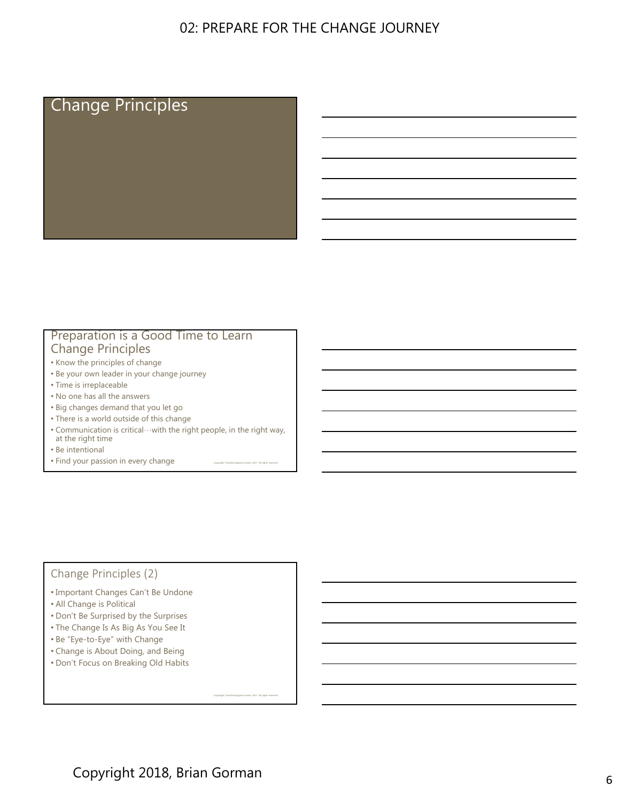# Change Principles

#### Preparation is a Good Time to Learn Change Principles

- Know the principles of change
- Be your own leader in your change journey
- Time is irreplaceable
- No one has all the answers
- Big changes demand that you let go
- There is a world outside of this change
- Communication is critical…with the right people, in the right way, at the right time

Copyright TransformingLives.Coach, 2017. All rights reserved.

Copyright TransformingLives.Coach, 2017. All rights reserved.

- Be intentional
- Find your passion in every change

#### Change Principles (2)

- Important Changes Can't Be Undone
- All Change is Political
- Don't Be Surprised by the Surprises
- The Change Is As Big As You See It
- Be "Eye-to-Eye" with Change
- Change is About Doing, and Being
- Don't Focus on Breaking Old Habits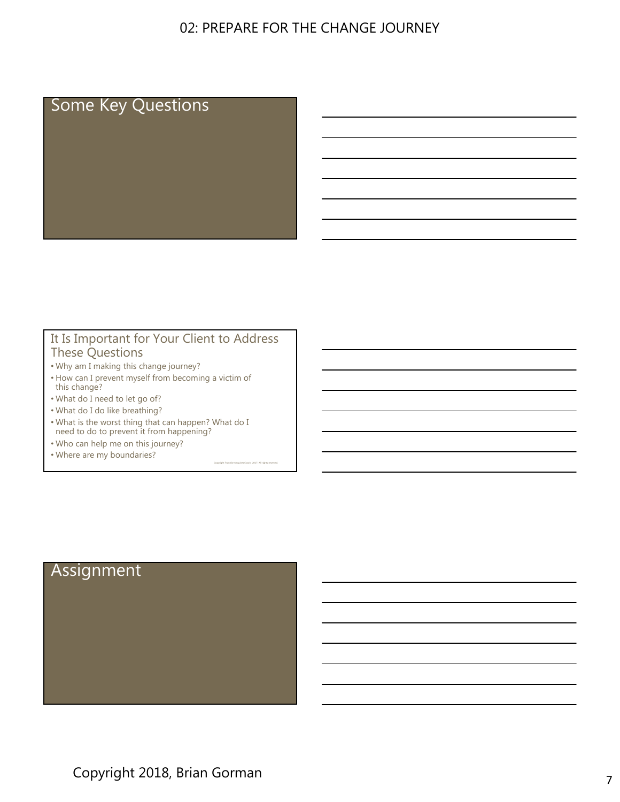# Some Key Questions

#### It Is Important for Your Client to Address These Questions

Copyright TransformingLives.Coach, 2017. All rights reserved.

- Why am I making this change journey?
- How can I prevent myself from becoming a victim of this change?
- What do I need to let go of?
- What do I do like breathing?
- What is the worst thing that can happen? What do I need to do to prevent it from happening?
- Who can help me on this journey?
- Where are my boundaries?

# Assignment

Copyright 2018, Brian Gorman